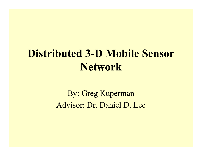# **Distributed 3-D Mobile Sensor Network**

By: Greg Kuperman Advisor: Dr. Daniel D. Lee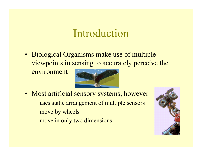#### Introduction

• Biological Organisms make use of multiple viewpoints in sensing to accurately perceive the

environment



- Most artificial sensory systems, however
	- –uses static arrangement of multiple sensors
	- –move by wheels
	- –move in only two dimensions

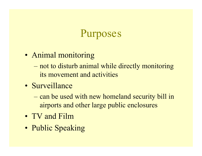## Purposes

- Animal monitoring
	- en al construction de la construction de la construction de la construction de la construction de la construction de la construction de la construction de la construction de la construction de la construction de la constru not to disturb animal while directly monitoring its movement and activities
- Surveillance
	- en al construction de la construction de la construction de la construction de la construction de la construction de la construction de la construction de la construction de la construction de la construction de la constru can be used with new homeland security bill in airports and other large public enclosures
- TV and Film
- Public Speaking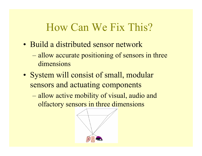## How Can We Fix This?

- Build a distributed sensor network
	- en al construction de la construction de la construction de la construction de la construction de la construction de la construction de la construction de la construction de la construction de la construction de la constru allow accurate positioning of sensors in three dimensions
- System will consist of small, modular sensors and actuating components
	- and the state of the state of the allow active mobility of visual, audio and olfactory sensors in three dimensions

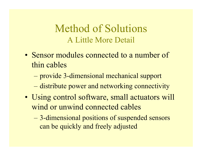#### Method of Solutions A Little More Detail

- Sensor modules connected to a number of thin cables
	- and the state of the state of the provide 3-dimensional mechanical support
	- en al construction de la construction de la construction de la construction de la construction de la construction de la construction de la construction de la construction de la construction de la construction de la constru distribute power and networking connectivity
- Using control software, small actuators will wind or unwind connected cables
	- – 3-dimensional positions of suspended sensors can be quickly and freely adjusted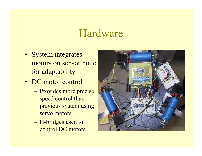#### Hardware

- System integrates motors on sensor node for adaptability
- DC motor control
	- – Provides more precise speed control than previous system using servo motors
	- – H-bridges used to control DC motors

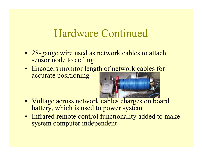#### Hardware Continued

- 28-gauge wire used as network cables to attach sensor node to ceiling
- Encoders monitor length of network cables for accurate positioning



- Voltage across network cables charges on board battery, which is used to power system
- Infrared remote control functionality added to make system computer independent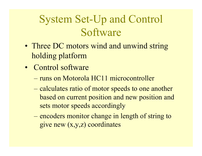# System Set-Up and Control Software

- Three DC motors wind and unwind string holding platform
- Control software
	- runs on Motorola HC11 microcontroller
	- – calculates ratio of motor speeds to one another based on current position and new position and sets motor speeds accordingly
	- – encoders monitor change in length of string to give new (x,y,z) coordinates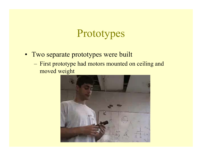### Prototypes

- Two separate prototypes were built
	- – First prototype had motors mounted on ceiling and moved weight

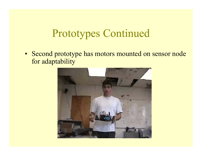## Prototypes Continued

• Second prototype has motors mounted on sensor node for adaptability

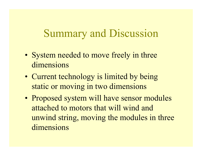### Summary and Discussion

- System needed to move freely in three dimensions
- Current technology is limited by being static or moving in two dimensions
- Proposed system will have sensor modules attached to motors that will wind and unwind string, moving the modules in three dimensions